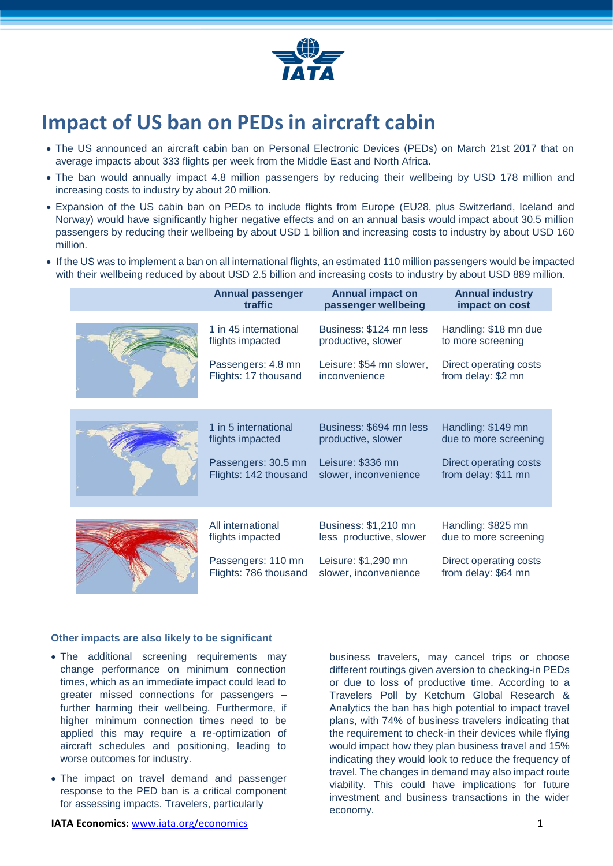

# **Impact of US ban on PEDs in aircraft cabin**

- The US announced an aircraft cabin ban on Personal Electronic Devices (PEDs) on March 21st 2017 that on average impacts about 333 flights per week from the Middle East and North Africa.
- The ban would annually impact 4.8 million passengers by reducing their wellbeing by USD 178 million and increasing costs to industry by about 20 million.
- Expansion of the US cabin ban on PEDs to include flights from Europe (EU28, plus Switzerland, Iceland and Norway) would have significantly higher negative effects and on an annual basis would impact about 30.5 million passengers by reducing their wellbeing by about USD 1 billion and increasing costs to industry by about USD 160 million.
- If the US was to implement a ban on all international flights, an estimated 110 million passengers would be impacted with their wellbeing reduced by about USD 2.5 billion and increasing costs to industry by about USD 889 million.

| <b>Annual passenger</b> | <b>Annual impact on</b>  | <b>Annual industry</b> |
|-------------------------|--------------------------|------------------------|
| traffic                 | passenger wellbeing      | impact on cost         |
| 1 in 45 international   | Business: \$124 mn less  | Handling: \$18 mn due  |
| flights impacted        | productive, slower       | to more screening      |
| Passengers: 4.8 mn      | Leisure: \$54 mn slower, | Direct operating costs |
| Flights: 17 thousand    | inconvenience            | from delay: \$2 mn     |
| 1 in 5 international    | Business: \$694 mn less  | Handling: \$149 mn     |
| flights impacted        | productive, slower       | due to more screening  |
| Passengers: 30.5 mn     | Leisure: \$336 mn        | Direct operating costs |
| Flights: 142 thousand   | slower, inconvenience    | from delay: \$11 mn    |
| All international       | Business: \$1,210 mn     | Handling: \$825 mn     |
| flights impacted        | less productive, slower  | due to more screening  |
| Passengers: 110 mn      | Leisure: \$1,290 mn      | Direct operating costs |
| Flights: 786 thousand   | slower, inconvenience    | from delay: \$64 mn    |

### **Other impacts are also likely to be significant**

- The additional screening requirements may change performance on minimum connection times, which as an immediate impact could lead to greater missed connections for passengers – further harming their wellbeing. Furthermore, if higher minimum connection times need to be applied this may require a re-optimization of aircraft schedules and positioning, leading to worse outcomes for industry.
- The impact on travel demand and passenger response to the PED ban is a critical component for assessing impacts. Travelers, particularly

business travelers, may cancel trips or choose different routings given aversion to checking-in PEDs or due to loss of productive time. According to a Travelers Poll by Ketchum Global Research & Analytics the ban has high potential to impact travel plans, with 74% of business travelers indicating that the requirement to check-in their devices while flying would impact how they plan business travel and 15% indicating they would look to reduce the frequency of travel. The changes in demand may also impact route viability. This could have implications for future investment and business transactions in the wider economy.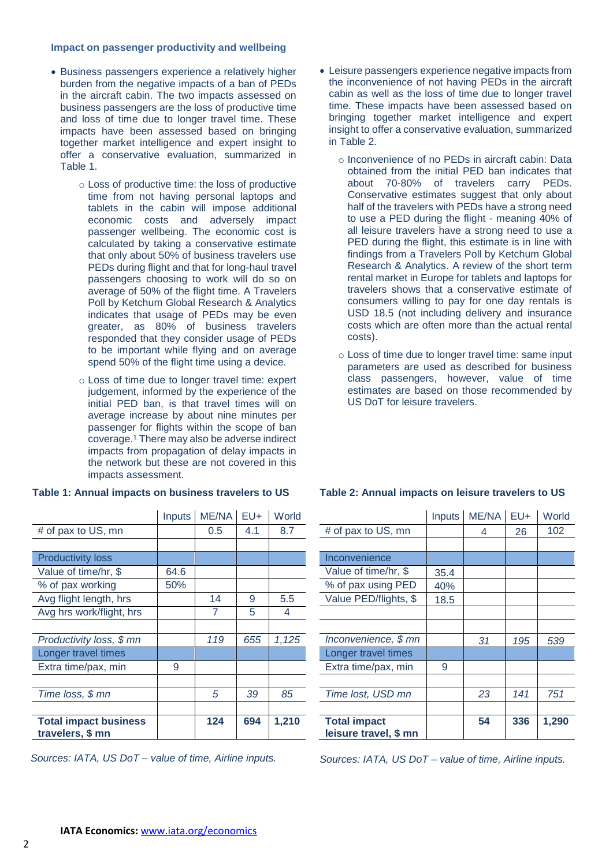## **Impact on passenger productivity and wellbeing**

- Business passengers experience a relatively higher burden from the negative impacts of a ban of PEDs in the aircraft cabin. The two impacts assessed on business passengers are the loss of productive time and loss of time due to longer travel time. These impacts have been assessed based on bringing together market intelligence and expert insight to offer a conservative evaluation, summarized in Table 1.
	- o Loss of productive time: the loss of productive time from not having personal laptops and tablets in the cabin will impose additional economic costs and adversely impact passenger wellbeing. The economic cost is calculated by taking a conservative estimate that only about 50% of business travelers use PEDs during flight and that for long-haul travel passengers choosing to work will do so on average of 50% of the flight time. A Travelers Poll by Ketchum Global Research & Analytics indicates that usage of PEDs may be even greater, as 80% of business travelers responded that they consider usage of PEDs to be important while flying and on average spend 50% of the flight time using a device.
	- o Loss of time due to longer travel time: expert judgement, informed by the experience of the initial PED ban, is that travel times will on average increase by about nine minutes per passenger for flights within the scope of ban coverage.<sup>1</sup> There may also be adverse indirect impacts from propagation of delay impacts in the network but these are not covered in this impacts assessment.

|                              | <b>Inputs</b> | ME/NA | EU+ | World |
|------------------------------|---------------|-------|-----|-------|
| # of pax to US, mn           |               | 0.5   | 4.1 | 8.7   |
|                              |               |       |     |       |
| <b>Productivity loss</b>     |               |       |     |       |
| Value of time/hr, \$         | 64.6          |       |     |       |
| % of pax working             | 50%           |       |     |       |
| Avg flight length, hrs       |               | 14    | 9   | 5.5   |
| Avg hrs work/flight, hrs     |               | 7     | 5   | 4     |
|                              |               |       |     |       |
| Productivity loss, \$ mn     |               | 119   | 655 | 1,125 |
| Longer travel times          |               |       |     |       |
| Extra time/pax, min          | 9             |       |     |       |
|                              |               |       |     |       |
| Time loss, \$ mn             |               | 5     | 39  | 85    |
|                              |               |       |     |       |
| <b>Total impact business</b> |               | 124   | 694 | 1,210 |
| travelers, \$ mn             |               |       |     |       |

#### **Table 1: Annual impacts on business travelers to US**

*Sources: IATA, US DoT – value of time, Airline inputs.*

- Leisure passengers experience negative impacts from the inconvenience of not having PEDs in the aircraft cabin as well as the loss of time due to longer travel time. These impacts have been assessed based on bringing together market intelligence and expert insight to offer a conservative evaluation, summarized in Table 2.
	- o Inconvenience of no PEDs in aircraft cabin: Data obtained from the initial PED ban indicates that about 70-80% of travelers carry PEDs. Conservative estimates suggest that only about half of the travelers with PEDs have a strong need to use a PED during the flight - meaning 40% of all leisure travelers have a strong need to use a PED during the flight, this estimate is in line with findings from a Travelers Poll by Ketchum Global Research & Analytics. A review of the short term rental market in Europe for tablets and laptops for travelers shows that a conservative estimate of consumers willing to pay for one day rentals is USD 18.5 (not including delivery and insurance costs which are often more than the actual rental costs).
	- o Loss of time due to longer travel time: same input parameters are used as described for business class passengers, however, value of time estimates are based on those recommended by US DoT for leisure travelers.

|                       | Inputs | ME/NA | $EU+$ | World |
|-----------------------|--------|-------|-------|-------|
| # of pax to US, mn    |        | 4     | 26    | 102   |
|                       |        |       |       |       |
| Inconvenience         |        |       |       |       |
| Value of time/hr, \$  | 35.4   |       |       |       |
| % of pax using PED    | 40%    |       |       |       |
| Value PED/flights, \$ | 18.5   |       |       |       |
|                       |        |       |       |       |
|                       |        |       |       |       |
| Inconvenience, \$ mn  |        | 31    | 195   | 539   |
| Longer travel times   |        |       |       |       |
| Extra time/pax, min   | 9      |       |       |       |
|                       |        |       |       |       |
| Time lost, USD mn     |        | 23    | 141   | 751   |
|                       |        |       |       |       |
| <b>Total impact</b>   |        | 54    | 336   | 1.290 |
| leisure travel, \$ mn |        |       |       |       |

# **Table 2: Annual impacts on leisure travelers to US**

*Sources: IATA, US DoT – value of time, Airline inputs.*